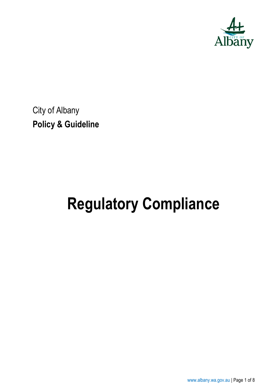

City of Albany **Policy & Guideline**

# **Regulatory Compliance**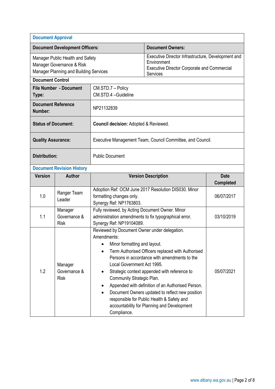| <b>Document Approval</b>                                                                                                           |                                        |                                                                                                                                                                                                                                                                                                                                                                                                                                                                                                                                              |                            |                                 |
|------------------------------------------------------------------------------------------------------------------------------------|----------------------------------------|----------------------------------------------------------------------------------------------------------------------------------------------------------------------------------------------------------------------------------------------------------------------------------------------------------------------------------------------------------------------------------------------------------------------------------------------------------------------------------------------------------------------------------------------|----------------------------|---------------------------------|
| <b>Document Development Officers:</b>                                                                                              |                                        |                                                                                                                                                                                                                                                                                                                                                                                                                                                                                                                                              | <b>Document Owners:</b>    |                                 |
| Manager Public Health and Safety<br>Manager Governance & Risk<br>Manager Planning and Building Services<br><b>Document Control</b> |                                        | Executive Director Infrastructure, Development and<br>Environment<br><b>Executive Director Corporate and Commercial</b><br>Services                                                                                                                                                                                                                                                                                                                                                                                                          |                            |                                 |
|                                                                                                                                    | <b>File Number - Document</b>          | CM.STD.7 - Policy                                                                                                                                                                                                                                                                                                                                                                                                                                                                                                                            |                            |                                 |
| Type:                                                                                                                              |                                        | CM.STD.4 -Guideline                                                                                                                                                                                                                                                                                                                                                                                                                                                                                                                          |                            |                                 |
| <b>Document Reference</b><br>Number:                                                                                               |                                        | NP21132839                                                                                                                                                                                                                                                                                                                                                                                                                                                                                                                                   |                            |                                 |
| <b>Status of Document:</b>                                                                                                         |                                        | <b>Council decision: Adopted &amp; Reviewed.</b>                                                                                                                                                                                                                                                                                                                                                                                                                                                                                             |                            |                                 |
| <b>Quality Assurance:</b>                                                                                                          |                                        | Executive Management Team, Council Committee, and Council.                                                                                                                                                                                                                                                                                                                                                                                                                                                                                   |                            |                                 |
| <b>Distribution:</b>                                                                                                               |                                        | <b>Public Document</b>                                                                                                                                                                                                                                                                                                                                                                                                                                                                                                                       |                            |                                 |
|                                                                                                                                    | <b>Document Revision History</b>       |                                                                                                                                                                                                                                                                                                                                                                                                                                                                                                                                              |                            |                                 |
| <b>Version</b>                                                                                                                     | <b>Author</b>                          |                                                                                                                                                                                                                                                                                                                                                                                                                                                                                                                                              | <b>Version Description</b> | <b>Date</b><br><b>Completed</b> |
| 1.0                                                                                                                                | Ranger Team<br>Leader                  | Adoption Ref: OCM June 2017 Resolution DIS030. Minor<br>formatting changes only.<br>Synergy Ref: NP1763803.                                                                                                                                                                                                                                                                                                                                                                                                                                  |                            | 06/07/2017                      |
| 1.1                                                                                                                                | Manager<br>Governance &<br><b>Risk</b> | Fully reviewed, by Acting Document Owner. Minor<br>administration amendments to fix typographical error.<br>Synergy Ref: NP19104089.                                                                                                                                                                                                                                                                                                                                                                                                         |                            | 03/10/2019                      |
| 1.2                                                                                                                                | Manager<br>Governance &<br><b>Risk</b> | Reviewed by Document Owner under delegation.<br>Amendments:<br>Minor formatting and layout.<br>Term Authorised Officers replaced with Authorised<br>Persons in accordance with amendments to the<br>Local Government Act 1995.<br>Strategic context appended with reference to<br>Community Strategic Plan.<br>Appended with definition of an Authorised Person.<br>Document Owners updated to reflect new position<br>$\bullet$<br>responsible for Public Health & Safety and<br>accountability for Planning and Development<br>Compliance. |                            | 05/07/2021                      |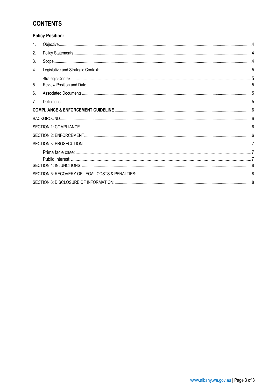# **CONTENTS**

## **Policy Position:**

| 1.             |  |
|----------------|--|
| 2.             |  |
| 3.             |  |
| 4.             |  |
| 5.             |  |
| 6.             |  |
| 7 <sub>1</sub> |  |
|                |  |
|                |  |
|                |  |
|                |  |
|                |  |
|                |  |
|                |  |
|                |  |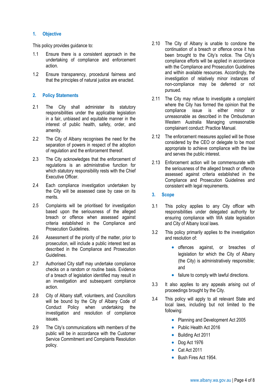#### <span id="page-3-0"></span>**1. Objective**

This policy provides guidance to:

- 1.1 Ensure there is a consistent approach in the undertaking of compliance and enforcement action.
- 1.2 Ensure transparency, procedural fairness and that the principles of natural justice are enacted.

### <span id="page-3-1"></span>**2. Policy Statements**

- 2.1 The City shall administer its statutory responsibilities under the applicable legislation in a fair, unbiased and equitable manner in the interest of public health, safety, order, and amenity.
- 2.2 The City of Albany recognises the need for the separation of powers in respect of the adoption of regulation and the enforcement thereof.
- 2.3 The City acknowledges that the enforcement of regulations is an administrative function for which statutory responsibility rests with the Chief Executive Officer.
- 2.4 Each compliance investigation undertaken by the City will be assessed case by case on its merits.
- 2.5 Complaints will be prioritised for investigation based upon the seriousness of the alleged breach or offence when assessed against criteria established in the Compliance and Prosecution Guidelines.
- 2.6 Assessment of the priority of the matter, prior to prosecution, will include a public interest test as described in the Compliance and Prosecution Guidelines.
- 2.7 Authorised City staff may undertake compliance checks on a random or routine basis. Evidence of a breach of legislation identified may result in an investigation and subsequent compliance action.
- 2.8 City of Albany staff, volunteers, and Councillors will be bound by the City of Albany Code of Conduct Policy when undertaking the investigation and resolution of compliance issues.
- 2.9 The City's communications with members of the public will be in accordance with the Customer Service Commitment and Complaints Resolution policy.
- 2.10 The City of Albany is unable to condone the continuation of a breach or offence once it has been brought to the City's notice. The City's compliance efforts will be applied in accordance with the Compliance and Prosecution Guidelines and within available resources. Accordingly, the investigation of relatively minor instances of non-compliance may be deferred or not pursued.
- 2.11 The City may refuse to investigate a complaint where the City has formed the opinion that the compliance issue is either minor or unreasonable as described in the Ombudsman Western Australia Managing unreasonable complainant conduct: Practice Manual.
- 2.12 The enforcement measures applied will be those considered by the CEO or delegate to be most appropriate to achieve compliance with the law and serves the public interest.
- 2.13 Enforcement action will be commensurate with the seriousness of the alleged breach or offence assessed against criteria established in the Compliance and Prosecution Guidelines and consistent with legal requirements.
- <span id="page-3-2"></span>**3. Scope**
- 3.1 This policy applies to any City officer with responsibilities under delegated authority for ensuring compliance with WA state legislation and City of Albany local laws.
- 3.2 This policy primarily applies to the investigation and resolution of:
	- offences against, or breaches of legislation for which the City of Albany (the City) is administratively responsible; and
	- failure to comply with lawful directions.
- 3.3 It also applies to any appeals arising out of proceedings brought by the City.
- 3.4 This policy will apply to all relevant State and local laws, including but not limited to the following:
	- Planning and Development Act 2005
	- Public Health Act 2016
	- Building Act 2011
	- Dog Act 1976
	- Cat Act 2011
	- Bush Fires Act 1954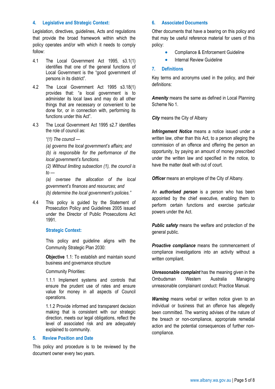#### <span id="page-4-0"></span>**4. Legislative and Strategic Context:**

Legislation, directives, guidelines, Acts and regulations that provide the broad framework within which the policy operates and/or with which it needs to comply follow:

- 4.1 The Local Government Act 1995, s3.1(1) identifies that one of the general functions of Local Government is the "good government of persons in its district".
- 4.2 The Local Government Act 1995 s3.18(1) provides that: "a local government is to administer its local laws and may do all other things that are necessary or convenient to be done for, or in connection with, performing its functions under this Act".
- 4.3 The Local Government Act 1995 s2.7 identifies the role of council as:
	- *"(1) The council —*
	- *(a) governs the local government's affairs; and*

*(b) is responsible for the performance of the local government's functions.*

*(2) Without limiting subsection (1), the council is to —*

*(a) oversee the allocation of the local government's finances and resources; and (b) determine the local government's policies."*

4.4 This policy is guided by the Statement of Prosecution Policy and Guidelines 2005 issued under the Director of Public Prosecutions Act 1991.

#### <span id="page-4-1"></span>**Strategic Context:**

This policy and guideline aligns with the Community Strategic Plan 2030:

**Objective** 1.1: To establish and maintain sound business and governance structure

Community Priorities:

1.1.1 Implement systems and controls that ensure the prudent use of rates and ensure value for money in all aspects of Council operations.

1.1.2 Provide informed and transparent decision making that is consistent with our strategic direction, meets our legal obligations, reflect the level of associated risk and are adequately explained to community.

#### <span id="page-4-2"></span>**5. Review Position and Date**

This policy and procedure is to be reviewed by the document owner every two years.

#### <span id="page-4-3"></span>**6. Associated Documents**

Other documents that have a bearing on this policy and that may be useful reference material for users of this policy:

- Compliance & Enforcement Guideline
- **Internal Review Guideline**

#### <span id="page-4-4"></span>**7. Definitions**

Key terms and acronyms used in the policy, and their definitions:

*Amenity* means the same as defined in Local Planning Scheme No 1.

*City* means the City of Albany

*Infringement Notice* means a notice issued under a written law, other than this Act, to a person alleging the commission of an offence and offering the person an opportunity, by paying an amount of money prescribed under the written law and specified in the notice, to have the matter dealt with out of court.

**Officer** means an employee of the City of Albany.

An *authorised person* is a person who has been appointed by the chief executive, enabling them to perform certain functions and exercise particular powers under the Act.

*Public safety* means the welfare and protection of the general public.

*Proactive compliance* means the commencement of compliance investigations into an activity without a written compliant.

*Unreasonable complaint* has the meaning given in the Ombudsman Western Australia Managing unreasonable complainant conduct: Practice Manual.

**Warning** means verbal or written notice given to an individual or business that an offence has allegedly been committed. The warning advises of the nature of the breach or non-compliance, appropriate remedial action and the potential consequences of further noncompliance.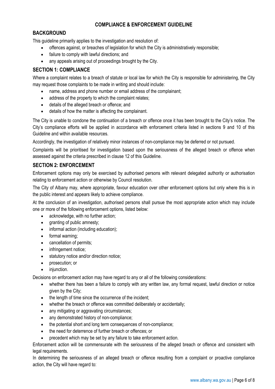## **COMPLIANCE & ENFORCEMENT GUIDELINE**

## <span id="page-5-1"></span><span id="page-5-0"></span>**BACKGROUND**

This guideline primarily applies to the investigation and resolution of:

- offences against, or breaches of legislation for which the City is administratively responsible;
- failure to comply with lawful directions; and
- any appeals arising out of proceedings brought by the City.

## <span id="page-5-2"></span>**SECTION 1: COMPLIANCE**

Where a complaint relates to a breach of statute or local law for which the City is responsible for administering, the City may request those complaints to be made in writing and should include:

- name, address and phone number or email address of the complainant;
- address of the property to which the complaint relates;
- details of the alleged breach or offence; and
- details of how the matter is affecting the complainant.

The City is unable to condone the continuation of a breach or offence once it has been brought to the City's notice. The City's compliance efforts will be applied in accordance with enforcement criteria listed in sections 9 and 10 of this Guideline and within available resources.

Accordingly, the investigation of relatively minor instances of non-compliance may be deferred or not pursued.

Complaints will be prioritised for investigation based upon the seriousness of the alleged breach or offence when assessed against the criteria prescribed in clause 12 of this Guideline.

## <span id="page-5-3"></span>**SECTION 2: ENFORCEMENT**

Enforcement options may only be exercised by authorised persons with relevant delegated authority or authorisation relating to enforcement action or otherwise by Council resolution.

The City of Albany may, where appropriate, favour education over other enforcement options but only where this is in the public interest and appears likely to achieve compliance.

At the conclusion of an investigation, authorised persons shall pursue the most appropriate action which may include one or more of the following enforcement options, listed below:

- acknowledge, with no further action;
- granting of public amnesty;
- informal action (including education);
- formal warning;
- cancellation of permits;
- infringement notice;
- statutory notice and/or direction notice:
- prosecution; or
- injunction.

Decisions on enforcement action may have regard to any or all of the following considerations:

- whether there has been a failure to comply with any written law, any formal request, lawful direction or notice given by the City;
- the length of time since the occurrence of the incident;
- whether the breach or offence was committed deliberately or accidentally;
- any mitigating or aggravating circumstances;
- any demonstrated history of non-compliance;
- the potential short and long term consequences of non-compliance;
- the need for deterrence of further breach or offences; or
- precedent which may be set by any failure to take enforcement action.

Enforcement action will be commensurate with the seriousness of the alleged breach or offence and consistent with legal requirements.

In determining the seriousness of an alleged breach or offence resulting from a complaint or proactive compliance action, the City will have regard to: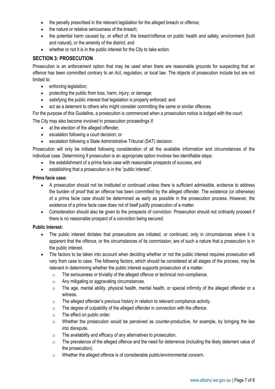- the penalty prescribed in the relevant legislation for the alleged breach or offence;
- the nature or relative seriousness of the breach:
- the potential harm caused by, or effect of, the breach/offence on public health and safety, environment (built and natural), or the amenity of the district; and
- whether or not it is in the public interest for the City to take action.

## <span id="page-6-0"></span>**SECTION 3: PROSECUTION**

Prosecution is an enforcement option that may be used when there are reasonable grounds for suspecting that an offence has been committed contrary to an Act, regulation, or local law. The objects of prosecution include but are not limited to:

- enforcing legislation;
- protecting the public from loss, harm, injury, or damage;
- satisfying the public interest that legislation is properly enforced; and
- act as a deterrent to others who might consider committing the same or similar offences.

For the purpose of this Guideline, a prosecution is commenced when a prosecution notice is lodged with the court.

The City may also become involved in prosecution proceedings if:

- at the election of the alleged offender;
- escalation following a court decision; or
- escalation following a State Administrative Tribunal (SAT) decision.

Prosecution will only be initiated following consideration of all the available information and circumstances of the individual case. Determining if prosecution is an appropriate option involves two identifiable steps:

- the establishment of a prima facie case with reasonable prospects of success, and
- establishing that a prosecution is in the "public interest".

#### <span id="page-6-1"></span>**Prima facie case:**

- A prosecution should not be instituted or continued unless there is sufficient admissible, evidence to address the burden of proof that an offence has been committed by the alleged offender. The existence (or otherwise) of a prima facie case should be determined as early as possible in the prosecution process. However, the existence of a prima facie case does not of itself justify prosecution of a matter.
- Consideration should also be given to the prospects of conviction. Prosecution should not ordinarily proceed if there is no reasonable prospect of a conviction being secured.

### <span id="page-6-2"></span>**Public Interest:**

- The public interest dictates that prosecutions are initiated, or continued, only in circumstances where it is apparent that the offence, or the circumstances of its commission, are of such a nature that a prosecution is in the public interest.
- The factors to be taken into account when deciding whether or not the public interest requires prosecution will vary from case to case. The following factors, which should be considered at all stages of the process, may be relevant in determining whether the public interest supports prosecution of a matter:
	- o The seriousness or triviality of the alleged offence or technical non-compliance.
	- o Any mitigating or aggravating circumstances.
	- o The age, mental ability, physical health, mental health, or special infirmity of the alleged offender or a witness.
	- o The alleged offender's previous history in relation to relevant compliance activity.
	- $\circ$  The degree of culpability of the alleged offender in connection with the offence.
	- o The effect on public order.
	- $\circ$  Whether the prosecution would be perceived as counter-productive, for example, by bringing the law into disrepute.
	- o The availability and efficacy of any alternatives to prosecution.
	- o The prevalence of the alleged offence and the need for deterrence (including the likely deterrent value of the prosecution).
	- o Whether the alleged offence is of considerable public/environmental concern.